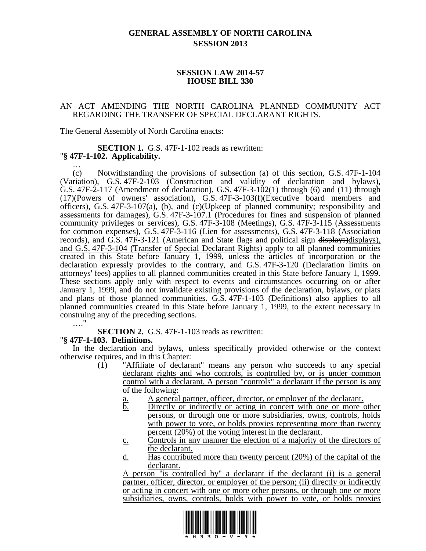## **GENERAL ASSEMBLY OF NORTH CAROLINA SESSION 2013**

## **SESSION LAW 2014-57 HOUSE BILL 330**

## AN ACT AMENDING THE NORTH CAROLINA PLANNED COMMUNITY ACT REGARDING THE TRANSFER OF SPECIAL DECLARANT RIGHTS.

The General Assembly of North Carolina enacts:

#### **SECTION 1.** G.S. 47F-1-102 reads as rewritten: "**§ 47F-1-102. Applicability.** …

(c) Notwithstanding the provisions of subsection (a) of this section, G.S. 47F-1-104 (Variation), G.S. 47F-2-103 (Construction and validity of declaration and bylaws), G.S. 47F-2-117 (Amendment of declaration), G.S. 47F-3-102(1) through (6) and (11) through (17)(Powers of owners' association), G.S. 47F-3-103(f)(Executive board members and officers), G.S. 47F-3-107(a), (b), and (c)(Upkeep of planned community; responsibility and assessments for damages), G.S. 47F-3-107.1 (Procedures for fines and suspension of planned community privileges or services), G.S. 47F-3-108 (Meetings), G.S. 47F-3-115 (Assessments for common expenses), G.S. 47F-3-116 (Lien for assessments), G.S. 47F-3-118 (Association records), and G.S. 47F-3-121 (American and State flags and political sign  $\frac{displays\rho}{}display$ displays), and G.S. 47F-3-104 (Transfer of Special Declarant Rights) apply to all planned communities created in this State before January 1, 1999, unless the articles of incorporation or the declaration expressly provides to the contrary, and G.S. 47F-3-120 (Declaration limits on attorneys' fees) applies to all planned communities created in this State before January 1, 1999. These sections apply only with respect to events and circumstances occurring on or after January 1, 1999, and do not invalidate existing provisions of the declaration, bylaws, or plats and plans of those planned communities. G.S. 47F-1-103 (Definitions) also applies to all planned communities created in this State before January 1, 1999, to the extent necessary in construing any of the preceding sections. …."

**SECTION 2.** G.S. 47F-1-103 reads as rewritten:

## "**§ 47F-1-103. Definitions.**

In the declaration and bylaws, unless specifically provided otherwise or the context otherwise requires, and in this Chapter:

- (1) "Affiliate of declarant" means any person who succeeds to any special declarant rights and who controls, is controlled by, or is under common control with a declarant. A person "controls" a declarant if the person is any of the following:
	- a. A general partner, officer, director, or employer of the declarant.
	- b. Directly or indirectly or acting in concert with one or more other persons, or through one or more subsidiaries, owns, controls, holds with power to vote, or holds proxies representing more than twenty percent (20%) of the voting interest in the declarant.
	- c. Controls in any manner the election of a majority of the directors of the declarant.
	- d. Has contributed more than twenty percent (20%) of the capital of the declarant.

A person "is controlled by" a declarant if the declarant (i) is a general partner, officer, director, or employer of the person; (ii) directly or indirectly or acting in concert with one or more other persons, or through one or more subsidiaries, owns, controls, holds with power to vote, or holds proxies

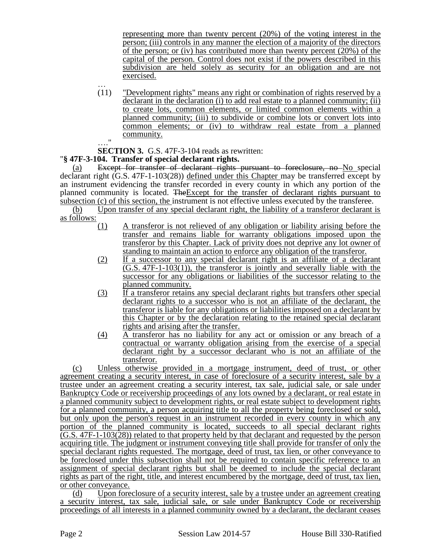representing more than twenty percent (20%) of the voting interest in the person; (iii) controls in any manner the election of a majority of the directors of the person; or (iv) has contributed more than twenty percent (20%) of the capital of the person. Control does not exist if the powers described in this subdivision are held solely as security for an obligation and are not exercised.

… (11) "Development rights" means any right or combination of rights reserved by a declarant in the declaration (i) to add real estate to a planned community; (ii) to create lots, common elements, or limited common elements within a planned community; (iii) to subdivide or combine lots or convert lots into common elements; or (iv) to withdraw real estate from a planned community.  $\ddot{ }$ 

**SECTION 3.** G.S. 47F-3-104 reads as rewritten:

# "**§ 47F-3-104. Transfer of special declarant rights.**

(a) Except for transfer of declarant rights pursuant to foreclosure, no No special declarant right (G.S. 47F-1-103(28)) defined under this Chapter may be transferred except by an instrument evidencing the transfer recorded in every county in which any portion of the planned community is located. TheExcept for the transfer of declarant rights pursuant to subsection (c) of this section, the instrument is not effective unless executed by the transferee.

(b) Upon transfer of any special declarant right, the liability of a transferor declarant is as follows:

- (1) A transferor is not relieved of any obligation or liability arising before the transfer and remains liable for warranty obligations imposed upon the transferor by this Chapter. Lack of privity does not deprive any lot owner of standing to maintain an action to enforce any obligation of the transferor.
- (2) If a successor to any special declarant right is an affiliate of a declarant (G.S. 47F-1-103(1)), the transferor is jointly and severally liable with the successor for any obligations or liabilities of the successor relating to the planned community.
- (3) If a transferor retains any special declarant rights but transfers other special declarant rights to a successor who is not an affiliate of the declarant, the transferor is liable for any obligations or liabilities imposed on a declarant by this Chapter or by the declaration relating to the retained special declarant rights and arising after the transfer.
- (4) A transferor has no liability for any act or omission or any breach of a contractual or warranty obligation arising from the exercise of a special declarant right by a successor declarant who is not an affiliate of the transferor.

(c) Unless otherwise provided in a mortgage instrument, deed of trust, or other agreement creating a security interest, in case of foreclosure of a security interest, sale by a trustee under an agreement creating a security interest, tax sale, judicial sale, or sale under Bankruptcy Code or receivership proceedings of any lots owned by a declarant, or real estate in a planned community subject to development rights, or real estate subject to development rights for a planned community, a person acquiring title to all the property being foreclosed or sold, but only upon the person's request in an instrument recorded in every county in which any portion of the planned community is located, succeeds to all special declarant rights (G.S. 47F-1-103(28)) related to that property held by that declarant and requested by the person acquiring title. The judgment or instrument conveying title shall provide for transfer of only the special declarant rights requested. The mortgage, deed of trust, tax lien, or other conveyance to be foreclosed under this subsection shall not be required to contain specific reference to an assignment of special declarant rights but shall be deemed to include the special declarant rights as part of the right, title, and interest encumbered by the mortgage, deed of trust, tax lien, or other conveyance.

(d) Upon foreclosure of a security interest, sale by a trustee under an agreement creating a security interest, tax sale, judicial sale, or sale under Bankruptcy Code or receivership proceedings of all interests in a planned community owned by a declarant, the declarant ceases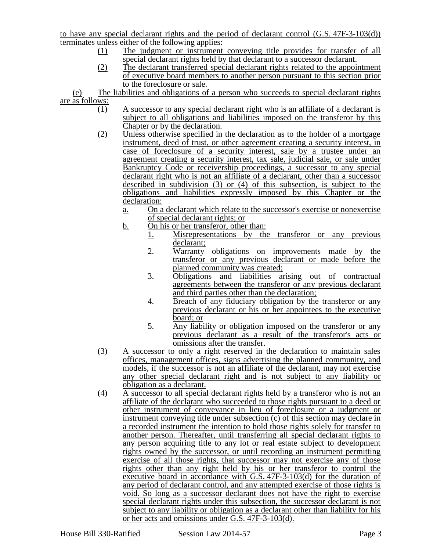to have any special declarant rights and the period of declarant control (G.S. 47F-3-103(d)) terminates unless either of the following applies:

- (1) The judgment or instrument conveying title provides for transfer of all special declarant rights held by that declarant to a successor declarant.
- (2) The declarant transferred special declarant rights related to the appointment of executive board members to another person pursuant to this section prior to the foreclosure or sale.

(e) The liabilities and obligations of a person who succeeds to special declarant rights are as follows:

- (1) A successor to any special declarant right who is an affiliate of a declarant is subject to all obligations and liabilities imposed on the transferor by this Chapter or by the declaration.
- (2) Unless otherwise specified in the declaration as to the holder of a mortgage instrument, deed of trust, or other agreement creating a security interest, in case of foreclosure of a security interest, sale by a trustee under an agreement creating a security interest, tax sale, judicial sale, or sale under Bankruptcy Code or receivership proceedings, a successor to any special declarant right who is not an affiliate of a declarant, other than a successor described in subdivision (3) or (4) of this subsection, is subject to the obligations and liabilities expressly imposed by this Chapter or the declaration:
	- a. On a declarant which relate to the successor's exercise or nonexercise of special declarant rights; or
	- b. On his or her transferor, other than:
		- 1. Misrepresentations by the transferor or any previous declarant;
			- 2. Warranty obligations on improvements made by the transferor or any previous declarant or made before the planned community was created;
			- 3. Obligations and liabilities arising out of contractual agreements between the transferor or any previous declarant and third parties other than the declaration;
			- 4. Breach of any fiduciary obligation by the transferor or any previous declarant or his or her appointees to the executive board; or
			- 5. Any liability or obligation imposed on the transferor or any previous declarant as a result of the transferor's acts or omissions after the transfer.
- (3) A successor to only a right reserved in the declaration to maintain sales offices, management offices, signs advertising the planned community, and models, if the successor is not an affiliate of the declarant, may not exercise any other special declarant right and is not subject to any liability or obligation as a declarant.
- (4) A successor to all special declarant rights held by a transferor who is not an affiliate of the declarant who succeeded to those rights pursuant to a deed or other instrument of conveyance in lieu of foreclosure or a judgment or instrument conveying title under subsection (c) of this section may declare in a recorded instrument the intention to hold those rights solely for transfer to another person. Thereafter, until transferring all special declarant rights to any person acquiring title to any lot or real estate subject to development rights owned by the successor, or until recording an instrument permitting exercise of all those rights, that successor may not exercise any of those rights other than any right held by his or her transferor to control the executive board in accordance with G.S. 47F-3-103(d) for the duration of any period of declarant control, and any attempted exercise of those rights is void. So long as a successor declarant does not have the right to exercise special declarant rights under this subsection, the successor declarant is not subject to any liability or obligation as a declarant other than liability for his or her acts and omissions under G.S. 47F-3-103(d).